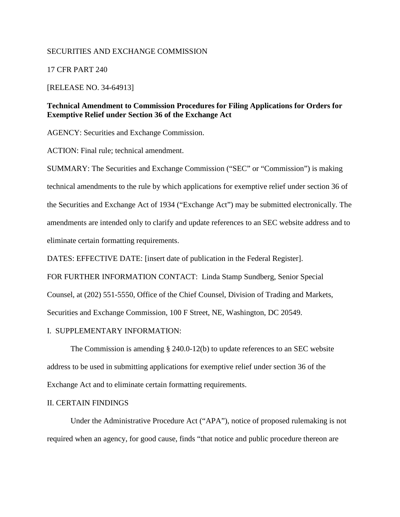## SECURITIES AND EXCHANGE COMMISSION

17 CFR PART 240

#### [RELEASE NO. 34-64913]

# **Technical Amendment to Commission Procedures for Filing Applications for Orders for Exemptive Relief under Section 36 of the Exchange Act**

AGENCY: Securities and Exchange Commission.

ACTION: Final rule; technical amendment.

SUMMARY: The Securities and Exchange Commission ("SEC" or "Commission") is making technical amendments to the rule by which applications for exemptive relief under section 36 of the Securities and Exchange Act of 1934 ("Exchange Act") may be submitted electronically. The amendments are intended only to clarify and update references to an SEC website address and to eliminate certain formatting requirements.

DATES: EFFECTIVE DATE: [insert date of publication in the Federal Register].

FOR FURTHER INFORMATION CONTACT: Linda Stamp Sundberg, Senior Special

Counsel, at (202) 551-5550, Office of the Chief Counsel, Division of Trading and Markets,

Securities and Exchange Commission, 100 F Street, NE, Washington, DC 20549.

#### I. SUPPLEMENTARY INFORMATION:

The Commission is amending § 240.0-12(b) to update references to an SEC website address to be used in submitting applications for exemptive relief under section 36 of the Exchange Act and to eliminate certain formatting requirements.

## II. CERTAIN FINDINGS

Under the Administrative Procedure Act ("APA"), notice of proposed rulemaking is not required when an agency, for good cause, finds "that notice and public procedure thereon are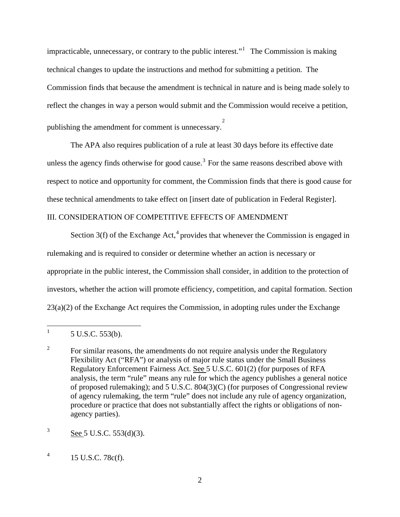impracticable, unnecessary, or contrary to the public interest."<sup>[1](#page-1-0)</sup> The Commission is making technical changes to update the instructions and method for submitting a petition. The Commission finds that because the amendment is technical in nature and is being made solely to reflect the changes in way a person would submit and the Commission would receive a petition, publishing the amendment for comment is unnecessary. [2](#page-1-1)

The APA also requires publication of a rule at least 30 days before its effective date unless the agency finds otherwise for good cause.<sup>[3](#page-1-2)</sup> For the same reasons described above with respect to notice and opportunity for comment, the Commission finds that there is good cause for these technical amendments to take effect on [insert date of publication in Federal Register].

# III. CONSIDERATION OF COMPETITIVE EFFECTS OF AMENDMENT

Section  $3(f)$  of the Exchange Act,<sup>[4](#page-1-3)</sup> provides that whenever the Commission is engaged in rulemaking and is required to consider or determine whether an action is necessary or appropriate in the public interest, the Commission shall consider, in addition to the protection of investors, whether the action will promote efficiency, competition, and capital formation. Section 23(a)(2) of the Exchange Act requires the Commission, in adopting rules under the Exchange

l

<span id="page-1-0"></span><sup>1</sup> 5 U.S.C. 553(b).

<span id="page-1-1"></span><sup>2</sup> For similar reasons, the amendments do not require analysis under the Regulatory Flexibility Act ("RFA") or analysis of major rule status under the Small Business Regulatory Enforcement Fairness Act. See 5 U.S.C. 601(2) (for purposes of RFA analysis, the term "rule" means any rule for which the agency publishes a general notice of proposed rulemaking); and 5 U.S.C. 804(3)(C) (for purposes of Congressional review of agency rulemaking, the term "rule" does not include any rule of agency organization, procedure or practice that does not substantially affect the rights or obligations of nonagency parties).

<span id="page-1-2"></span><sup>3</sup> See 5 U.S.C. 553(d)(3).

<span id="page-1-3"></span><sup>4</sup> 15 U.S.C. 78c(f).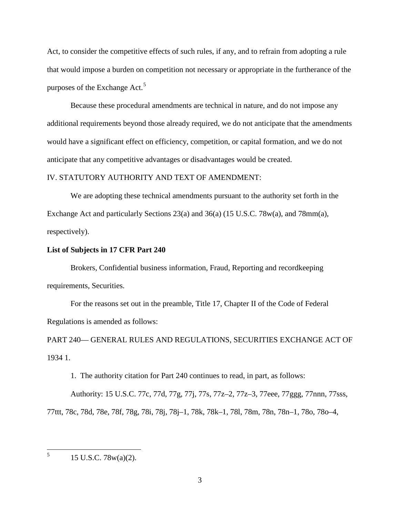Act, to consider the competitive effects of such rules, if any, and to refrain from adopting a rule that would impose a burden on competition not necessary or appropriate in the furtherance of the purposes of the Exchange  $Act.<sup>5</sup>$  $Act.<sup>5</sup>$  $Act.<sup>5</sup>$ 

Because these procedural amendments are technical in nature, and do not impose any additional requirements beyond those already required, we do not anticipate that the amendments would have a significant effect on efficiency, competition, or capital formation, and we do not anticipate that any competitive advantages or disadvantages would be created.

#### IV. STATUTORY AUTHORITY AND TEXT OF AMENDMENT:

We are adopting these technical amendments pursuant to the authority set forth in the Exchange Act and particularly Sections 23(a) and 36(a) (15 U.S.C. 78w(a), and 78mm(a), respectively).

#### **List of Subjects in 17 CFR Part 240**

Brokers, Confidential business information, Fraud, Reporting and recordkeeping requirements, Securities.

For the reasons set out in the preamble, Title 17, Chapter II of the Code of Federal Regulations is amended as follows:

PART 240— GENERAL RULES AND REGULATIONS, SECURITIES EXCHANGE ACT OF 1934 1.

1. The authority citation for Part 240 continues to read, in part, as follows:

Authority: 15 U.S.C. 77c, 77d, 77g, 77j, 77s, 77z–2, 77z–3, 77eee, 77ggg, 77nnn, 77sss, 77ttt, 78c, 78d, 78e, 78f, 78g, 78i, 78j, 78j–1, 78k, 78k–1, 78l, 78m, 78n, 78n–1, 78o, 78o–4,

 $\overline{\phantom{0}}$ 

<span id="page-2-0"></span><sup>5</sup> 15 U.S.C. 78w(a)(2).